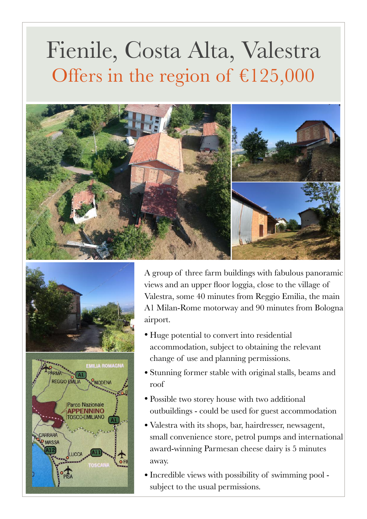## Fienile, Costa Alta, Valestra Offers in the region of €125,000







A group of three farm buildings with fabulous panoramic views and an upper floor loggia, close to the village of Valestra, some 40 minutes from Reggio Emilia, the main A1 Milan-Rome motorway and 90 minutes from Bologna airport.

- Huge potential to convert into residential accommodation, subject to obtaining the relevant change of use and planning permissions.
- Stunning former stable with original stalls, beams and roof
- Possible two storey house with two additional outbuildings - could be used for guest accommodation
- Valestra with its shops, bar, hairdresser, newsagent, small convenience store, petrol pumps and international award-winning Parmesan cheese dairy is 5 minutes away.
- Incredible views with possibility of swimming pool subject to the usual permissions.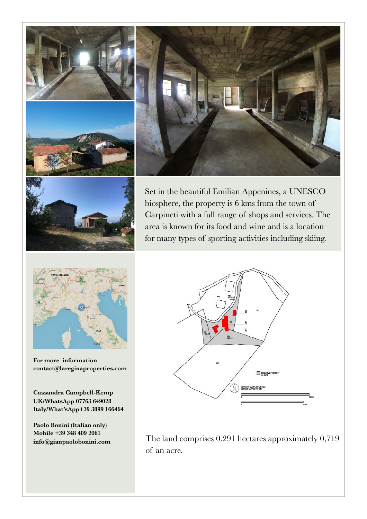







Set in the beautiful Emilian Appenines, a UNESCO biosphere, the property is 6 kms from the town of Carpineti with a full range of shops and services. The area is known for its food and wine and is a location for many types of sporting activities including skiing.



**For more information [contact@lareginaproperties.com](http://www.apple.com)**

**Cassandra Campbell-Kemp UK/WhatsApp 07763 649028 Italy/What'sApp+39 3899 166464**

**Paolo Bonini (Italian only) Mobile +39 348 409 2061 [info@gianpaolobonini.com](http://www.apple.com)**



The land comprises 0.291 hectares approximately 0,719 of an acre.